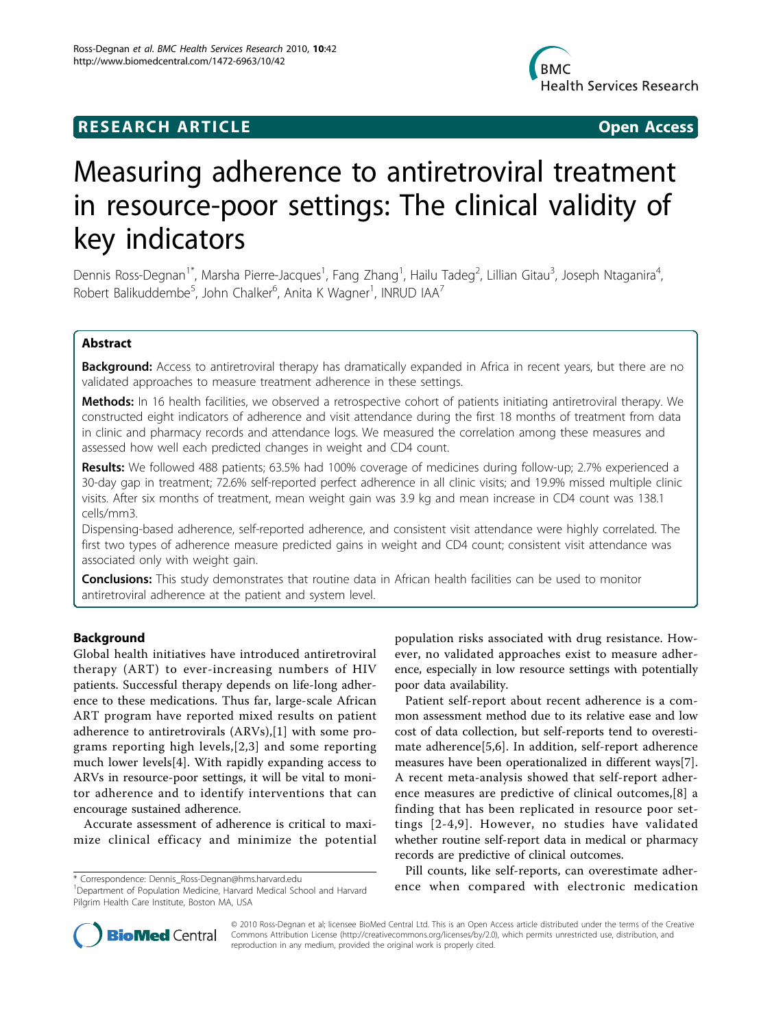# **RESEARCH ARTICLE Example 2018 Open Access**



# Measuring adherence to antiretroviral treatment in resource-poor settings: The clinical validity of key indicators

Dennis Ross-Degnan<sup>1\*</sup>, Marsha Pierre-Jacques<sup>1</sup>, Fang Zhang<sup>1</sup>, Hailu Tadeg<sup>2</sup>, Lillian Gitau<sup>3</sup>, Joseph Ntaganira<sup>4</sup> , Robert Balikuddembe<sup>5</sup>, John Chalker<sup>6</sup>, Anita K Wagner<sup>1</sup>, INRUD IAA<sup>7</sup>

# Abstract

**Background:** Access to antiretroviral therapy has dramatically expanded in Africa in recent years, but there are no validated approaches to measure treatment adherence in these settings.

Methods: In 16 health facilities, we observed a retrospective cohort of patients initiating antiretroviral therapy. We constructed eight indicators of adherence and visit attendance during the first 18 months of treatment from data in clinic and pharmacy records and attendance logs. We measured the correlation among these measures and assessed how well each predicted changes in weight and CD4 count.

Results: We followed 488 patients; 63.5% had 100% coverage of medicines during follow-up; 2.7% experienced a 30-day gap in treatment; 72.6% self-reported perfect adherence in all clinic visits; and 19.9% missed multiple clinic visits. After six months of treatment, mean weight gain was 3.9 kg and mean increase in CD4 count was 138.1 cells/mm3.

Dispensing-based adherence, self-reported adherence, and consistent visit attendance were highly correlated. The first two types of adherence measure predicted gains in weight and CD4 count; consistent visit attendance was associated only with weight gain.

**Conclusions:** This study demonstrates that routine data in African health facilities can be used to monitor antiretroviral adherence at the patient and system level.

# Background

Global health initiatives have introduced antiretroviral therapy (ART) to ever-increasing numbers of HIV patients. Successful therapy depends on life-long adherence to these medications. Thus far, large-scale African ART program have reported mixed results on patient adherence to antiretrovirals (ARVs),[[1\]](#page-9-0) with some programs reporting high levels,[[2](#page-9-0),[3\]](#page-9-0) and some reporting much lower levels[[4](#page-9-0)]. With rapidly expanding access to ARVs in resource-poor settings, it will be vital to monitor adherence and to identify interventions that can encourage sustained adherence.

Accurate assessment of adherence is critical to maximize clinical efficacy and minimize the potential

population risks associated with drug resistance. However, no validated approaches exist to measure adherence, especially in low resource settings with potentially poor data availability.

Patient self-report about recent adherence is a common assessment method due to its relative ease and low cost of data collection, but self-reports tend to overestimate adherence[[5,6](#page-9-0)]. In addition, self-report adherence measures have been operationalized in different ways[\[7](#page-9-0)]. A recent meta-analysis showed that self-report adherence measures are predictive of clinical outcomes,[\[8](#page-9-0)] a finding that has been replicated in resource poor settings [[2](#page-9-0)-[4,9\]](#page-9-0). However, no studies have validated whether routine self-report data in medical or pharmacy records are predictive of clinical outcomes.

Pill counts, like self-reports, can overestimate adher-\* Correspondence: [Dennis\\_Ross-Degnan@hms.harvard.edu](mailto:Dennis_Ross-Degnan@hms.harvard.edu)<br><sup>1</sup>Denartment of Population Medicine Harvard Medical School and Harvard **ence when compared with electronic medication** 



© 2010 Ross-Degnan et al; licensee BioMed Central Ltd. This is an Open Access article distributed under the terms of the Creative Commons Attribution License [\(http://creativecommons.org/licenses/by/2.0](http://creativecommons.org/licenses/by/2.0)), which permits unrestricted use, distribution, and reproduction in any medium, provided the original work is properly cited.

<sup>&</sup>lt;sup>1</sup>Department of Population Medicine, Harvard Medical School and Harvard Pilgrim Health Care Institute, Boston MA, USA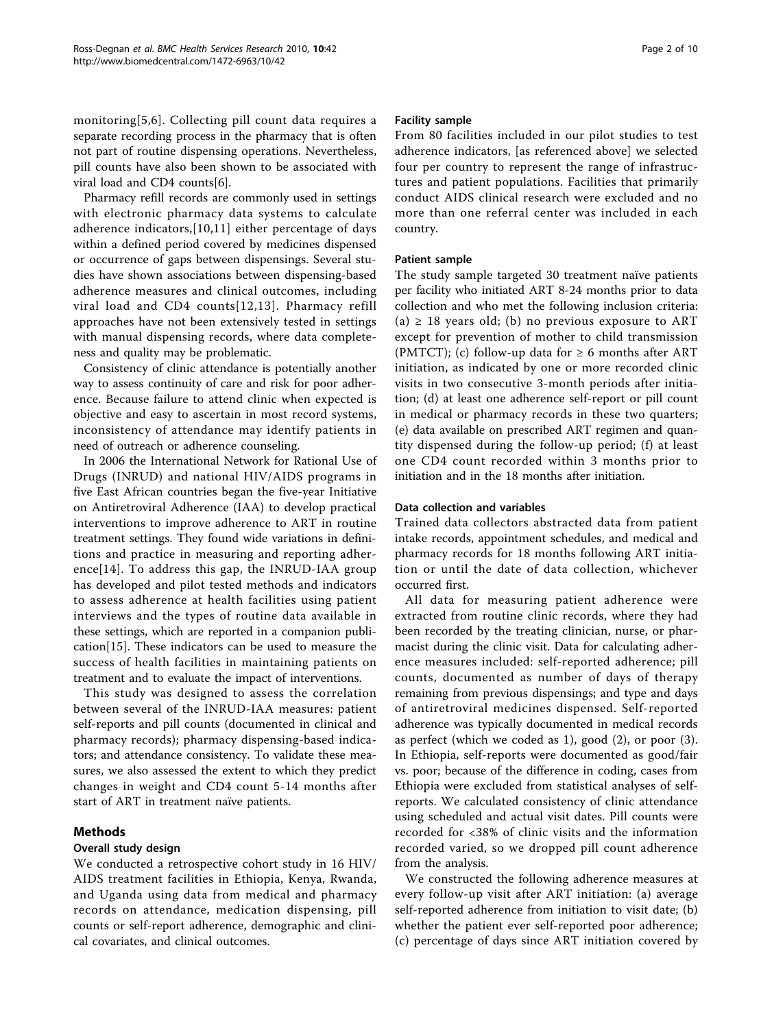monitoring[[5](#page-9-0),[6\]](#page-9-0). Collecting pill count data requires a separate recording process in the pharmacy that is often not part of routine dispensing operations. Nevertheless, pill counts have also been shown to be associated with viral load and CD4 counts[\[6](#page-9-0)].

Pharmacy refill records are commonly used in settings with electronic pharmacy data systems to calculate adherence indicators,[[10](#page-9-0),[11\]](#page-9-0) either percentage of days within a defined period covered by medicines dispensed or occurrence of gaps between dispensings. Several studies have shown associations between dispensing-based adherence measures and clinical outcomes, including viral load and CD4 counts[[12](#page-9-0),[13\]](#page-9-0). Pharmacy refill approaches have not been extensively tested in settings with manual dispensing records, where data completeness and quality may be problematic.

Consistency of clinic attendance is potentially another way to assess continuity of care and risk for poor adherence. Because failure to attend clinic when expected is objective and easy to ascertain in most record systems, inconsistency of attendance may identify patients in need of outreach or adherence counseling.

In 2006 the International Network for Rational Use of Drugs (INRUD) and national HIV/AIDS programs in five East African countries began the five-year Initiative on Antiretroviral Adherence (IAA) to develop practical interventions to improve adherence to ART in routine treatment settings. They found wide variations in definitions and practice in measuring and reporting adherence[[14\]](#page-9-0). To address this gap, the INRUD-IAA group has developed and pilot tested methods and indicators to assess adherence at health facilities using patient interviews and the types of routine data available in these settings, which are reported in a companion publication[\[15](#page-9-0)]. These indicators can be used to measure the success of health facilities in maintaining patients on treatment and to evaluate the impact of interventions.

This study was designed to assess the correlation between several of the INRUD-IAA measures: patient self-reports and pill counts (documented in clinical and pharmacy records); pharmacy dispensing-based indicators; and attendance consistency. To validate these measures, we also assessed the extent to which they predict changes in weight and CD4 count 5-14 months after start of ART in treatment naïve patients.

# Methods

# Overall study design

We conducted a retrospective cohort study in 16 HIV/ AIDS treatment facilities in Ethiopia, Kenya, Rwanda, and Uganda using data from medical and pharmacy records on attendance, medication dispensing, pill counts or self-report adherence, demographic and clinical covariates, and clinical outcomes.

# Facility sample

From 80 facilities included in our pilot studies to test adherence indicators, [as referenced above] we selected four per country to represent the range of infrastructures and patient populations. Facilities that primarily conduct AIDS clinical research were excluded and no more than one referral center was included in each country.

# Patient sample

The study sample targeted 30 treatment naïve patients per facility who initiated ART 8-24 months prior to data collection and who met the following inclusion criteria: (a)  $\geq$  18 years old; (b) no previous exposure to ART except for prevention of mother to child transmission (PMTCT); (c) follow-up data for  $\geq 6$  months after ART initiation, as indicated by one or more recorded clinic visits in two consecutive 3-month periods after initiation; (d) at least one adherence self-report or pill count in medical or pharmacy records in these two quarters; (e) data available on prescribed ART regimen and quantity dispensed during the follow-up period; (f) at least one CD4 count recorded within 3 months prior to initiation and in the 18 months after initiation.

# Data collection and variables

Trained data collectors abstracted data from patient intake records, appointment schedules, and medical and pharmacy records for 18 months following ART initiation or until the date of data collection, whichever occurred first.

All data for measuring patient adherence were extracted from routine clinic records, where they had been recorded by the treating clinician, nurse, or pharmacist during the clinic visit. Data for calculating adherence measures included: self-reported adherence; pill counts, documented as number of days of therapy remaining from previous dispensings; and type and days of antiretroviral medicines dispensed. Self-reported adherence was typically documented in medical records as perfect (which we coded as 1), good (2), or poor (3). In Ethiopia, self-reports were documented as good/fair vs. poor; because of the difference in coding, cases from Ethiopia were excluded from statistical analyses of selfreports. We calculated consistency of clinic attendance using scheduled and actual visit dates. Pill counts were recorded for <38% of clinic visits and the information recorded varied, so we dropped pill count adherence from the analysis.

We constructed the following adherence measures at every follow-up visit after ART initiation: (a) average self-reported adherence from initiation to visit date; (b) whether the patient ever self-reported poor adherence; (c) percentage of days since ART initiation covered by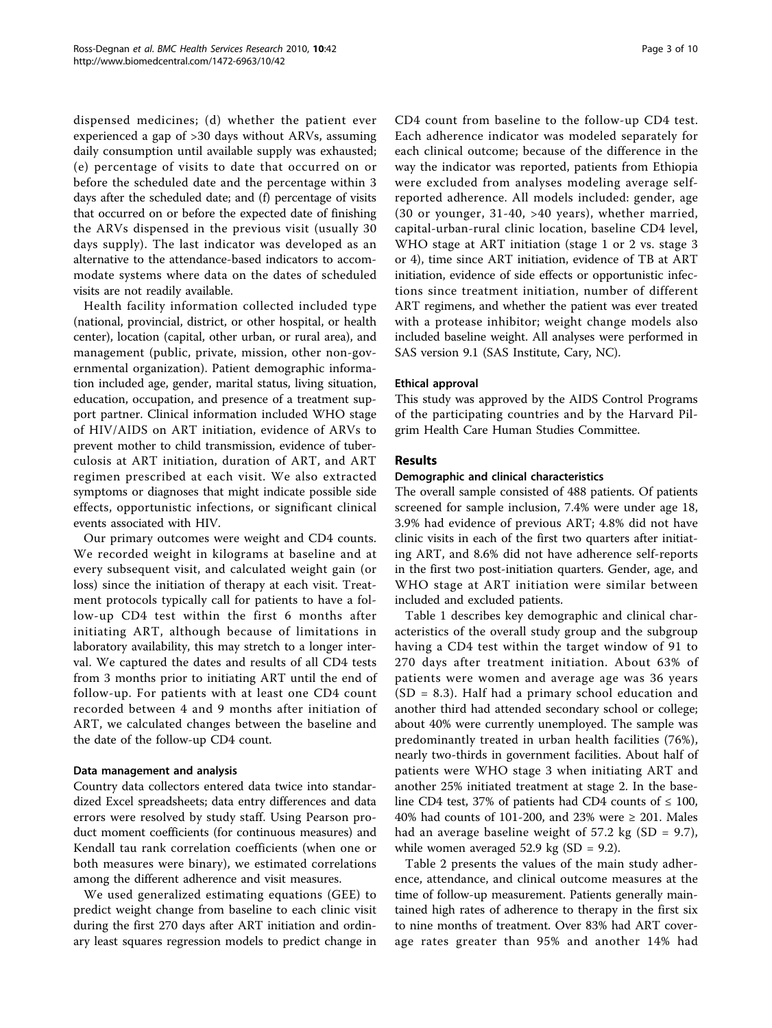dispensed medicines; (d) whether the patient ever experienced a gap of >30 days without ARVs, assuming daily consumption until available supply was exhausted; (e) percentage of visits to date that occurred on or before the scheduled date and the percentage within 3 days after the scheduled date; and (f) percentage of visits that occurred on or before the expected date of finishing the ARVs dispensed in the previous visit (usually 30 days supply). The last indicator was developed as an alternative to the attendance-based indicators to accommodate systems where data on the dates of scheduled visits are not readily available.

Health facility information collected included type (national, provincial, district, or other hospital, or health center), location (capital, other urban, or rural area), and management (public, private, mission, other non-governmental organization). Patient demographic information included age, gender, marital status, living situation, education, occupation, and presence of a treatment support partner. Clinical information included WHO stage of HIV/AIDS on ART initiation, evidence of ARVs to prevent mother to child transmission, evidence of tuberculosis at ART initiation, duration of ART, and ART regimen prescribed at each visit. We also extracted symptoms or diagnoses that might indicate possible side effects, opportunistic infections, or significant clinical events associated with HIV.

Our primary outcomes were weight and CD4 counts. We recorded weight in kilograms at baseline and at every subsequent visit, and calculated weight gain (or loss) since the initiation of therapy at each visit. Treatment protocols typically call for patients to have a follow-up CD4 test within the first 6 months after initiating ART, although because of limitations in laboratory availability, this may stretch to a longer interval. We captured the dates and results of all CD4 tests from 3 months prior to initiating ART until the end of follow-up. For patients with at least one CD4 count recorded between 4 and 9 months after initiation of ART, we calculated changes between the baseline and the date of the follow-up CD4 count.

#### Data management and analysis

Country data collectors entered data twice into standardized Excel spreadsheets; data entry differences and data errors were resolved by study staff. Using Pearson product moment coefficients (for continuous measures) and Kendall tau rank correlation coefficients (when one or both measures were binary), we estimated correlations among the different adherence and visit measures.

We used generalized estimating equations (GEE) to predict weight change from baseline to each clinic visit during the first 270 days after ART initiation and ordinary least squares regression models to predict change in

CD4 count from baseline to the follow-up CD4 test. Each adherence indicator was modeled separately for each clinical outcome; because of the difference in the way the indicator was reported, patients from Ethiopia were excluded from analyses modeling average selfreported adherence. All models included: gender, age (30 or younger, 31-40, >40 years), whether married, capital-urban-rural clinic location, baseline CD4 level, WHO stage at ART initiation (stage 1 or 2 vs. stage 3 or 4), time since ART initiation, evidence of TB at ART initiation, evidence of side effects or opportunistic infections since treatment initiation, number of different ART regimens, and whether the patient was ever treated with a protease inhibitor; weight change models also included baseline weight. All analyses were performed in SAS version 9.1 (SAS Institute, Cary, NC).

#### Ethical approval

This study was approved by the AIDS Control Programs of the participating countries and by the Harvard Pilgrim Health Care Human Studies Committee.

#### Results

#### Demographic and clinical characteristics

The overall sample consisted of 488 patients. Of patients screened for sample inclusion, 7.4% were under age 18, 3.9% had evidence of previous ART; 4.8% did not have clinic visits in each of the first two quarters after initiating ART, and 8.6% did not have adherence self-reports in the first two post-initiation quarters. Gender, age, and WHO stage at ART initiation were similar between included and excluded patients.

Table [1](#page-3-0) describes key demographic and clinical characteristics of the overall study group and the subgroup having a CD4 test within the target window of 91 to 270 days after treatment initiation. About 63% of patients were women and average age was 36 years (SD = 8.3). Half had a primary school education and another third had attended secondary school or college; about 40% were currently unemployed. The sample was predominantly treated in urban health facilities (76%), nearly two-thirds in government facilities. About half of patients were WHO stage 3 when initiating ART and another 25% initiated treatment at stage 2. In the baseline CD4 test, 37% of patients had CD4 counts of  $\leq 100$ , 40% had counts of 101-200, and 23% were  $\geq$  201. Males had an average baseline weight of  $57.2 \text{ kg}$  (SD = 9.7), while women averaged 52.9 kg  $(SD = 9.2)$ .

Table [2](#page-4-0) presents the values of the main study adherence, attendance, and clinical outcome measures at the time of follow-up measurement. Patients generally maintained high rates of adherence to therapy in the first six to nine months of treatment. Over 83% had ART coverage rates greater than 95% and another 14% had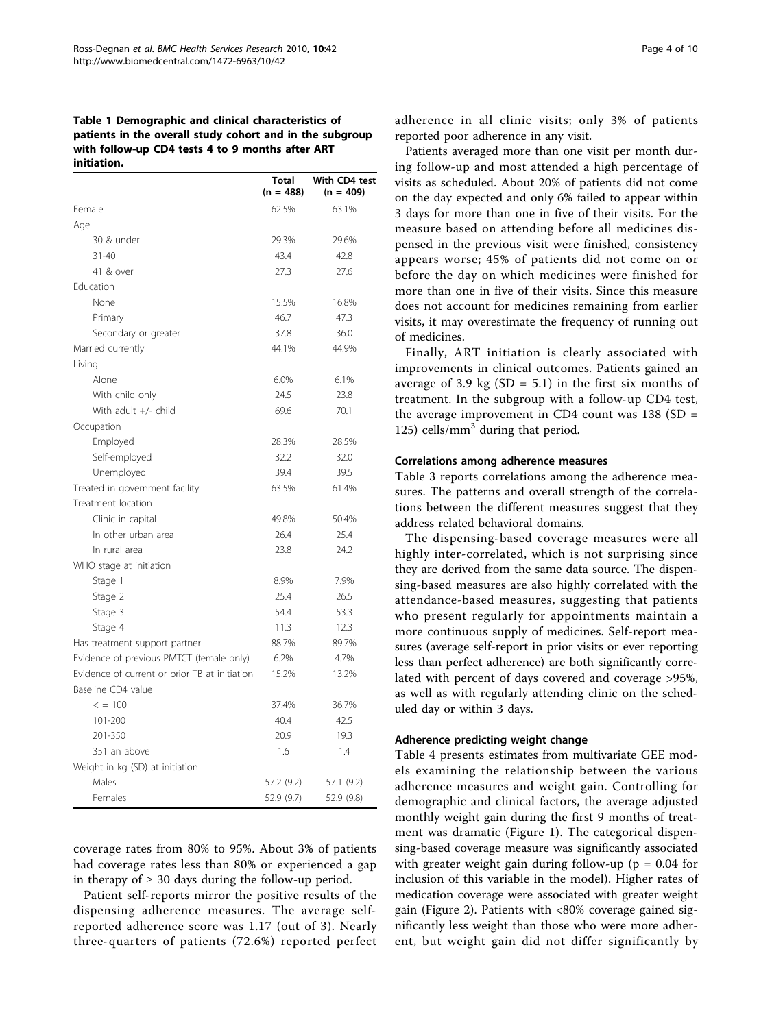<span id="page-3-0"></span>Table 1 Demographic and clinical characteristics of patients in the overall study cohort and in the subgroup with follow-up CD4 tests 4 to 9 months after ART initiation.

|                                               | Total<br>$(n = 488)$ | With CD4 test<br>$(n = 409)$ |
|-----------------------------------------------|----------------------|------------------------------|
| Female                                        | 62.5%                | 63.1%                        |
| Age                                           |                      |                              |
| 30 & under                                    | 29.3%                | 29.6%                        |
| $31 - 40$                                     | 43.4                 | 42.8                         |
| 41 & over                                     | 27.3                 | 27.6                         |
| Education                                     |                      |                              |
| None                                          | 15.5%                | 16.8%                        |
| Primary                                       | 46.7                 | 47.3                         |
| Secondary or greater                          | 37.8                 | 36.0                         |
| Married currently                             | 44.1%                | 44.9%                        |
| Living                                        |                      |                              |
| Alone                                         | 6.0%                 | 6.1%                         |
| With child only                               | 24.5                 | 23.8                         |
| With adult $+/-$ child                        | 69.6                 | 70.1                         |
| Occupation                                    |                      |                              |
| Employed                                      | 28.3%                | 28.5%                        |
| Self-employed                                 | 32.2                 | 32.0                         |
| Unemployed                                    | 39.4                 | 39.5                         |
| Treated in government facility                | 63.5%                | 61.4%                        |
| Treatment location                            |                      |                              |
| Clinic in capital                             | 49.8%                | 50.4%                        |
| In other urban area                           | 26.4                 | 25.4                         |
| In rural area                                 | 23.8                 | 24.2                         |
| WHO stage at initiation                       |                      |                              |
| Stage 1                                       | 8.9%                 | 7.9%                         |
| Stage 2                                       | 25.4                 | 26.5                         |
| Stage 3                                       | 54.4                 | 53.3                         |
| Stage 4                                       | 11.3                 | 12.3                         |
| Has treatment support partner                 | 88.7%                | 89.7%                        |
| Evidence of previous PMTCT (female only)      | 6.2%                 | 4.7%                         |
| Evidence of current or prior TB at initiation | 15.2%                | 13.2%                        |
| Baseline CD4 value                            |                      |                              |
| $\leq$ = 100                                  | 37.4%                | 36.7%                        |
| 101-200                                       | 40.4                 | 42.5                         |
| 201-350                                       | 20.9                 | 19.3                         |
| 351 an above                                  | 1.6                  | 1.4                          |
| Weight in kg (SD) at initiation               |                      |                              |
| Males                                         | 57.2 (9.2)           | 57.1 (9.2)                   |
| Females                                       | 52.9 (9.7)           | 52.9 (9.8)                   |

coverage rates from 80% to 95%. About 3% of patients had coverage rates less than 80% or experienced a gap in therapy of  $\geq$  30 days during the follow-up period.

Patient self-reports mirror the positive results of the dispensing adherence measures. The average selfreported adherence score was 1.17 (out of 3). Nearly three-quarters of patients (72.6%) reported perfect adherence in all clinic visits; only 3% of patients reported poor adherence in any visit.

Patients averaged more than one visit per month during follow-up and most attended a high percentage of visits as scheduled. About 20% of patients did not come on the day expected and only 6% failed to appear within 3 days for more than one in five of their visits. For the measure based on attending before all medicines dispensed in the previous visit were finished, consistency appears worse; 45% of patients did not come on or before the day on which medicines were finished for more than one in five of their visits. Since this measure does not account for medicines remaining from earlier visits, it may overestimate the frequency of running out of medicines.

Finally, ART initiation is clearly associated with improvements in clinical outcomes. Patients gained an average of 3.9 kg  $(SD = 5.1)$  in the first six months of treatment. In the subgroup with a follow-up CD4 test, the average improvement in CD4 count was  $138$  (SD = 125) cells/ $mm<sup>3</sup>$  during that period.

#### Correlations among adherence measures

Table [3](#page-5-0) reports correlations among the adherence measures. The patterns and overall strength of the correlations between the different measures suggest that they address related behavioral domains.

The dispensing-based coverage measures were all highly inter-correlated, which is not surprising since they are derived from the same data source. The dispensing-based measures are also highly correlated with the attendance-based measures, suggesting that patients who present regularly for appointments maintain a more continuous supply of medicines. Self-report measures (average self-report in prior visits or ever reporting less than perfect adherence) are both significantly correlated with percent of days covered and coverage >95%, as well as with regularly attending clinic on the scheduled day or within 3 days.

#### Adherence predicting weight change

Table [4](#page-6-0) presents estimates from multivariate GEE models examining the relationship between the various adherence measures and weight gain. Controlling for demographic and clinical factors, the average adjusted monthly weight gain during the first 9 months of treatment was dramatic (Figure [1\)](#page-6-0). The categorical dispensing-based coverage measure was significantly associated with greater weight gain during follow-up ( $p = 0.04$  for inclusion of this variable in the model). Higher rates of medication coverage were associated with greater weight gain (Figure [2\)](#page-7-0). Patients with <80% coverage gained significantly less weight than those who were more adherent, but weight gain did not differ significantly by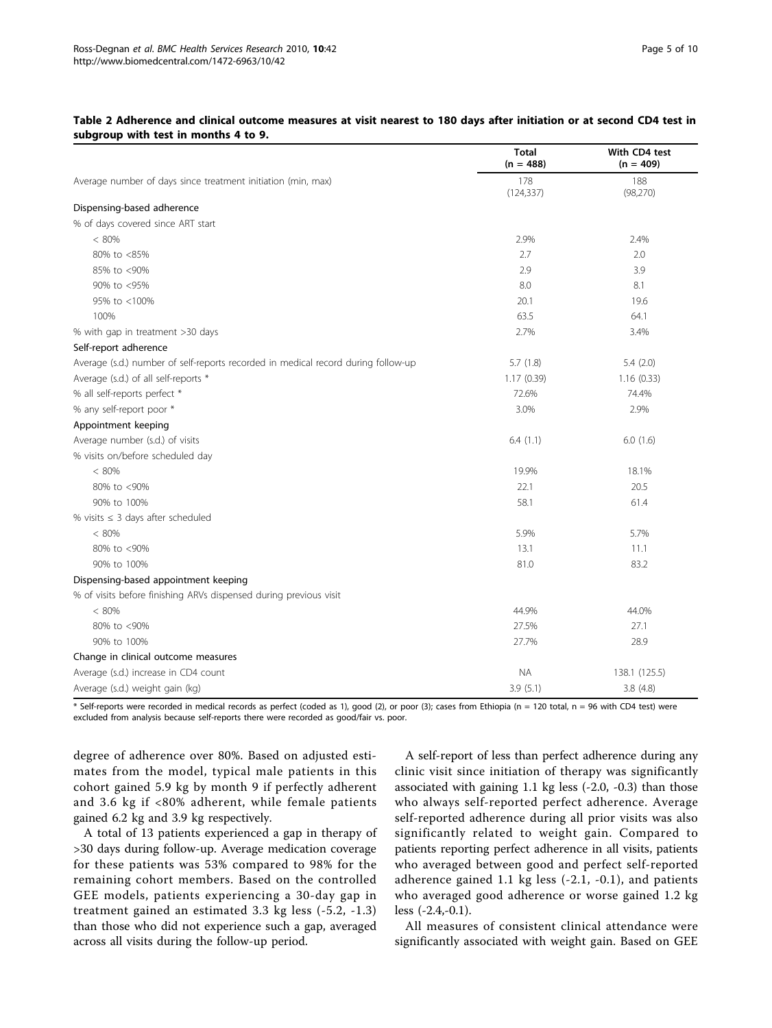|                                                                                   | <b>Total</b><br>$(n = 488)$ | With CD4 test<br>$(n = 409)$ |
|-----------------------------------------------------------------------------------|-----------------------------|------------------------------|
| Average number of days since treatment initiation (min, max)                      | 178<br>(124, 337)           | 188<br>(98, 270)             |
| Dispensing-based adherence                                                        |                             |                              |
| % of days covered since ART start                                                 |                             |                              |
| < 80%                                                                             | 2.9%                        | 2.4%                         |
| 80% to <85%                                                                       | 2.7                         | 2.0                          |
| 85% to <90%                                                                       | 2.9                         | 3.9                          |
| 90% to <95%                                                                       | 8.0                         | 8.1                          |
| 95% to <100%                                                                      | 20.1                        | 19.6                         |
| 100%                                                                              | 63.5                        | 64.1                         |
| % with gap in treatment >30 days                                                  | 2.7%                        | 3.4%                         |
| Self-report adherence                                                             |                             |                              |
| Average (s.d.) number of self-reports recorded in medical record during follow-up | 5.7(1.8)                    | 5.4(2.0)                     |
| Average (s.d.) of all self-reports *                                              | 1.17(0.39)                  | 1.16(0.33)                   |
| % all self-reports perfect *                                                      | 72.6%                       | 74.4%                        |
| % any self-report poor *                                                          | 3.0%                        | 2.9%                         |
| Appointment keeping                                                               |                             |                              |
| Average number (s.d.) of visits                                                   | 6.4(1.1)                    | 6.0(1.6)                     |
| % visits on/before scheduled day                                                  |                             |                              |
| $< 80\%$                                                                          | 19.9%                       | 18.1%                        |
| 80% to <90%                                                                       | 22.1                        | 20.5                         |
| 90% to 100%                                                                       | 58.1                        | 61.4                         |
| % visits $\leq$ 3 days after scheduled                                            |                             |                              |
| < 80%                                                                             | 5.9%                        | 5.7%                         |
| 80% to <90%                                                                       | 13.1                        | 11.1                         |
| 90% to 100%                                                                       | 81.0                        | 83.2                         |
| Dispensing-based appointment keeping                                              |                             |                              |
| % of visits before finishing ARVs dispensed during previous visit                 |                             |                              |
| < 80%                                                                             | 44.9%                       | 44.0%                        |
| 80% to <90%                                                                       | 27.5%                       | 27.1                         |
| 90% to 100%                                                                       | 27.7%                       | 28.9                         |
| Change in clinical outcome measures                                               |                             |                              |
| Average (s.d.) increase in CD4 count                                              | <b>NA</b>                   | 138.1 (125.5)                |
| Average (s.d.) weight gain (kg)                                                   | 3.9(5.1)                    | 3.8(4.8)                     |

# <span id="page-4-0"></span>Table 2 Adherence and clinical outcome measures at visit nearest to 180 days after initiation or at second CD4 test in subgroup with test in months 4 to 9.

\* Self-reports were recorded in medical records as perfect (coded as 1), good (2), or poor (3); cases from Ethiopia (n = 120 total, n = 96 with CD4 test) were excluded from analysis because self-reports there were recorded as good/fair vs. poor.

degree of adherence over 80%. Based on adjusted estimates from the model, typical male patients in this cohort gained 5.9 kg by month 9 if perfectly adherent and 3.6 kg if <80% adherent, while female patients gained 6.2 kg and 3.9 kg respectively.

A total of 13 patients experienced a gap in therapy of >30 days during follow-up. Average medication coverage for these patients was 53% compared to 98% for the remaining cohort members. Based on the controlled GEE models, patients experiencing a 30-day gap in treatment gained an estimated 3.3 kg less (-5.2, -1.3) than those who did not experience such a gap, averaged across all visits during the follow-up period.

A self-report of less than perfect adherence during any clinic visit since initiation of therapy was significantly associated with gaining 1.1 kg less (-2.0, -0.3) than those who always self-reported perfect adherence. Average self-reported adherence during all prior visits was also significantly related to weight gain. Compared to patients reporting perfect adherence in all visits, patients who averaged between good and perfect self-reported adherence gained 1.1 kg less (-2.1, -0.1), and patients who averaged good adherence or worse gained 1.2 kg less (-2.4,-0.1).

All measures of consistent clinical attendance were significantly associated with weight gain. Based on GEE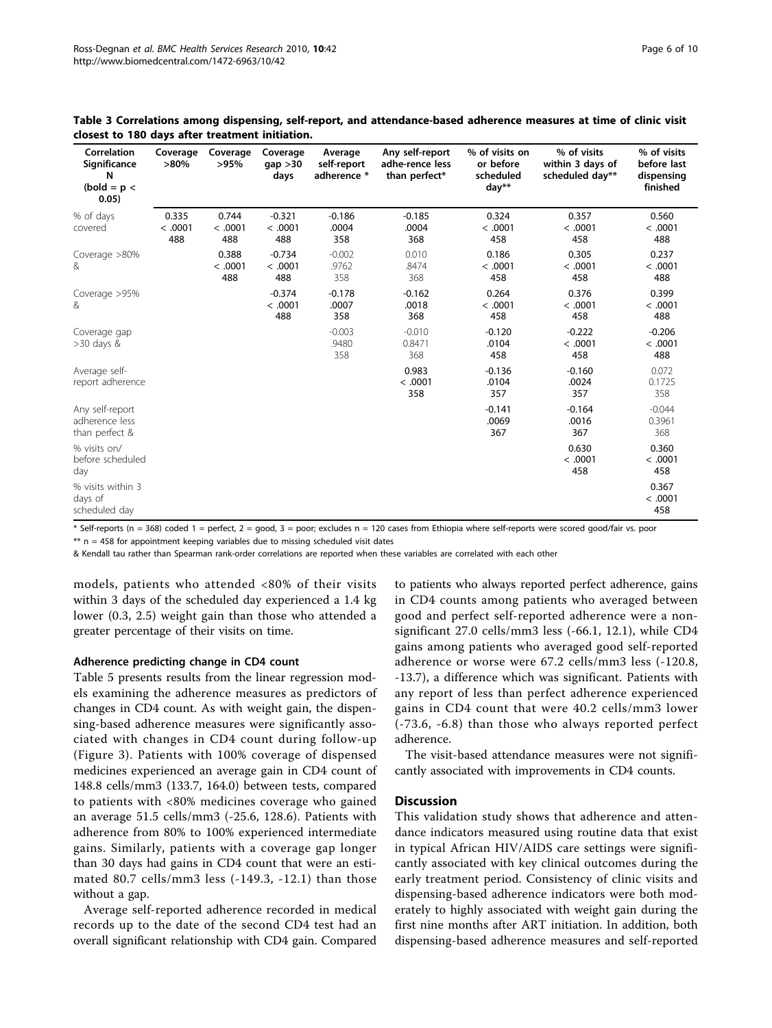| Correlation<br>Significance<br>N<br>$(bold = p <$<br>0.05) | Coverage<br>$>80\%$     | Coverage<br>>95%        | Coverage<br>gap > 30<br>days | Average<br>self-report<br>adherence * | Any self-report<br>adhe-rence less<br>than perfect* | % of visits on<br>or before<br>scheduled<br>day** | % of visits<br>within 3 days of<br>scheduled day** | % of visits<br>before last<br>dispensing<br>finished |
|------------------------------------------------------------|-------------------------|-------------------------|------------------------------|---------------------------------------|-----------------------------------------------------|---------------------------------------------------|----------------------------------------------------|------------------------------------------------------|
| % of days<br>covered                                       | 0.335<br>< .0001<br>488 | 0.744<br>< .0001<br>488 | $-0.321$<br>< .0001<br>488   | $-0.186$<br>.0004<br>358              | $-0.185$<br>.0004<br>368                            | 0.324<br>< .0001<br>458                           | 0.357<br>< .0001<br>458                            | 0.560<br>< .0001<br>488                              |
| Coverage $>80\%$<br>&                                      |                         | 0.388<br>< .0001<br>488 | $-0.734$<br>< .0001<br>488   | $-0.002$<br>.9762<br>358              | 0.010<br>.8474<br>368                               | 0.186<br>< .0001<br>458                           | 0.305<br>< .0001<br>458                            | 0.237<br>< .0001<br>488                              |
| Coverage >95%<br>&                                         |                         |                         | $-0.374$<br>< .0001<br>488   | $-0.178$<br>.0007<br>358              | $-0.162$<br>.0018<br>368                            | 0.264<br>< .0001<br>458                           | 0.376<br>< .0001<br>458                            | 0.399<br>< .0001<br>488                              |
| Coverage gap<br>$>30$ days &                               |                         |                         |                              | $-0.003$<br>.9480<br>358              | $-0.010$<br>0.8471<br>368                           | $-0.120$<br>.0104<br>458                          | $-0.222$<br>< .0001<br>458                         | $-0.206$<br>< .0001<br>488                           |
| Average self-<br>report adherence                          |                         |                         |                              |                                       | 0.983<br>< .0001<br>358                             | $-0.136$<br>.0104<br>357                          | $-0.160$<br>.0024<br>357                           | 0.072<br>0.1725<br>358                               |
| Any self-report<br>adherence less<br>than perfect &        |                         |                         |                              |                                       |                                                     | $-0.141$<br>.0069<br>367                          | $-0.164$<br>.0016<br>367                           | $-0.044$<br>0.3961<br>368                            |
| % visits on/<br>before scheduled<br>day                    |                         |                         |                              |                                       |                                                     |                                                   | 0.630<br>< .0001<br>458                            | 0.360<br>< .0001<br>458                              |
| % visits within 3<br>days of<br>scheduled day              |                         |                         |                              |                                       |                                                     |                                                   |                                                    | 0.367<br>< .0001<br>458                              |

<span id="page-5-0"></span>

| Table 3 Correlations among dispensing, self-report, and attendance-based adherence measures at time of clinic visit |  |  |  |
|---------------------------------------------------------------------------------------------------------------------|--|--|--|
| closest to 180 days after treatment initiation.                                                                     |  |  |  |

 $*$  Self-reports (n = 368) coded 1 = perfect, 2 = good, 3 = poor; excludes n = 120 cases from Ethiopia where self-reports were scored good/fair vs. poor  $**$  n = 458 for appointment keeping variables due to missing scheduled visit dates

& Kendall tau rather than Spearman rank-order correlations are reported when these variables are correlated with each other

models, patients who attended <80% of their visits within 3 days of the scheduled day experienced a 1.4 kg lower (0.3, 2.5) weight gain than those who attended a greater percentage of their visits on time.

# Adherence predicting change in CD4 count

Table [5](#page-7-0) presents results from the linear regression models examining the adherence measures as predictors of changes in CD4 count. As with weight gain, the dispensing-based adherence measures were significantly associated with changes in CD4 count during follow-up (Figure [3\)](#page-8-0). Patients with 100% coverage of dispensed medicines experienced an average gain in CD4 count of 148.8 cells/mm3 (133.7, 164.0) between tests, compared to patients with <80% medicines coverage who gained an average 51.5 cells/mm3 (-25.6, 128.6). Patients with adherence from 80% to 100% experienced intermediate gains. Similarly, patients with a coverage gap longer than 30 days had gains in CD4 count that were an estimated 80.7 cells/mm3 less (-149.3, -12.1) than those without a gap.

Average self-reported adherence recorded in medical records up to the date of the second CD4 test had an overall significant relationship with CD4 gain. Compared

to patients who always reported perfect adherence, gains in CD4 counts among patients who averaged between good and perfect self-reported adherence were a nonsignificant 27.0 cells/mm3 less (-66.1, 12.1), while CD4 gains among patients who averaged good self-reported adherence or worse were 67.2 cells/mm3 less (-120.8, -13.7), a difference which was significant. Patients with any report of less than perfect adherence experienced gains in CD4 count that were 40.2 cells/mm3 lower (-73.6, -6.8) than those who always reported perfect adherence.

The visit-based attendance measures were not significantly associated with improvements in CD4 counts.

#### **Discussion**

This validation study shows that adherence and attendance indicators measured using routine data that exist in typical African HIV/AIDS care settings were significantly associated with key clinical outcomes during the early treatment period. Consistency of clinic visits and dispensing-based adherence indicators were both moderately to highly associated with weight gain during the first nine months after ART initiation. In addition, both dispensing-based adherence measures and self-reported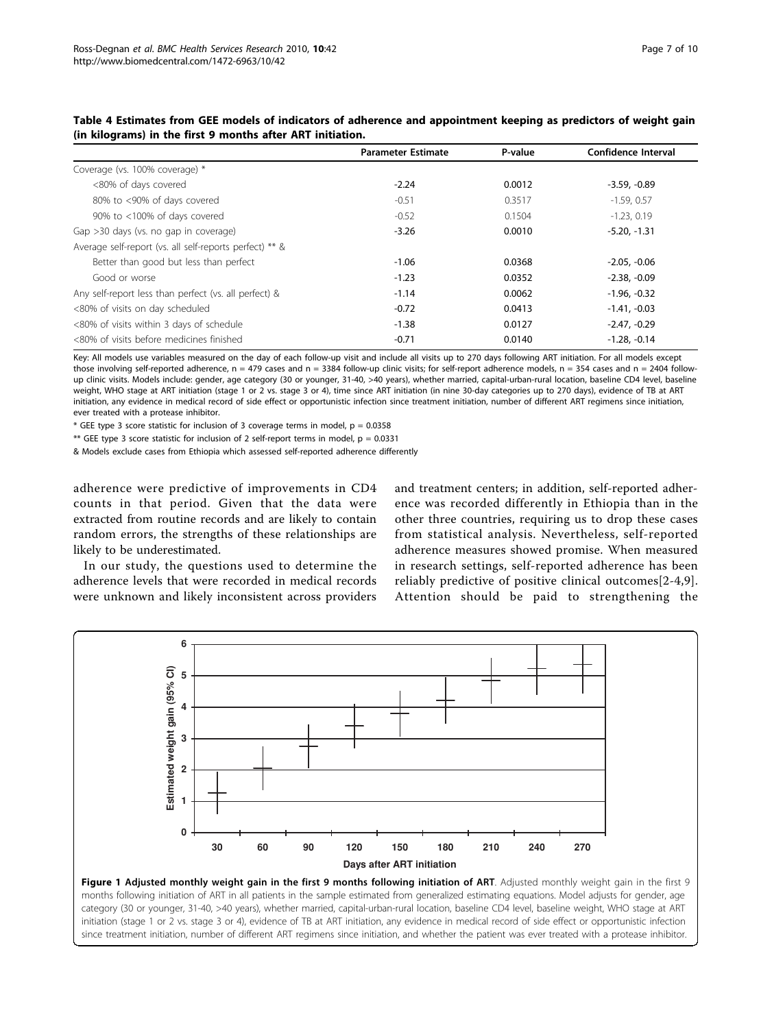|                                                         | <b>Parameter Estimate</b> | P-value | Confidence Interval |
|---------------------------------------------------------|---------------------------|---------|---------------------|
| Coverage (vs. 100% coverage) *                          |                           |         |                     |
| <80% of days covered                                    | $-2.24$                   | 0.0012  | $-3.59, -0.89$      |
| 80% to <90% of days covered                             | $-0.51$                   | 0.3517  | $-1.59.0.57$        |
| 90% to <100% of days covered                            | $-0.52$                   | 0.1504  | $-1.23.0.19$        |
| Gap >30 days (vs. no gap in coverage)                   | $-3.26$                   | 0.0010  | $-5.20, -1.31$      |
| Average self-report (vs. all self-reports perfect) ** & |                           |         |                     |
| Better than good but less than perfect                  | $-1.06$                   | 0.0368  | $-2.05, -0.06$      |
| Good or worse                                           | $-1.23$                   | 0.0352  | $-2.38, -0.09$      |
| Any self-report less than perfect (vs. all perfect) &   | $-1.14$                   | 0.0062  | $-1.96, -0.32$      |
| <80% of visits on day scheduled                         | $-0.72$                   | 0.0413  | $-1.41, -0.03$      |
| <80% of visits within 3 days of schedule                | $-1.38$                   | 0.0127  | $-2.47, -0.29$      |
| <80% of visits before medicines finished                | $-0.71$                   | 0.0140  | $-1.28. -0.14$      |

<span id="page-6-0"></span>

| Table 4 Estimates from GEE models of indicators of adherence and appointment keeping as predictors of weight gain |
|-------------------------------------------------------------------------------------------------------------------|
| (in kilograms) in the first 9 months after ART initiation.                                                        |

Key: All models use variables measured on the day of each follow-up visit and include all visits up to 270 days following ART initiation. For all models except those involving self-reported adherence,  $n = 479$  cases and  $n = 3384$  follow-up clinic visits; for self-report adherence models,  $n = 354$  cases and  $n = 2404$  followup clinic visits. Models include: gender, age category (30 or younger, 31-40, >40 years), whether married, capital-urban-rural location, baseline CD4 level, baseline weight, WHO stage at ART initiation (stage 1 or 2 vs. stage 3 or 4), time since ART initiation (in nine 30-day categories up to 270 days), evidence of TB at ART initiation, any evidence in medical record of side effect or opportunistic infection since treatment initiation, number of different ART regimens since initiation, ever treated with a protease inhibitor.

 $*$  GEE type 3 score statistic for inclusion of 3 coverage terms in model,  $p = 0.0358$ 

\*\* GEE type 3 score statistic for inclusion of 2 self-report terms in model,  $p = 0.0331$ 

& Models exclude cases from Ethiopia which assessed self-reported adherence differently

adherence were predictive of improvements in CD4 counts in that period. Given that the data were extracted from routine records and are likely to contain random errors, the strengths of these relationships are likely to be underestimated.

In our study, the questions used to determine the adherence levels that were recorded in medical records were unknown and likely inconsistent across providers and treatment centers; in addition, self-reported adherence was recorded differently in Ethiopia than in the other three countries, requiring us to drop these cases from statistical analysis. Nevertheless, self-reported adherence measures showed promise. When measured in research settings, self-reported adherence has been reliably predictive of positive clinical outcomes[[2-4,9](#page-9-0)]. Attention should be paid to strengthening the



months following initiation of ART in all patients in the sample estimated from generalized estimating equations. Model adjusts for gender, age category (30 or younger, 31-40, >40 years), whether married, capital-urban-rural location, baseline CD4 level, baseline weight, WHO stage at ART initiation (stage 1 or 2 vs. stage 3 or 4), evidence of TB at ART initiation, any evidence in medical record of side effect or opportunistic infection since treatment initiation, number of different ART regimens since initiation, and whether the patient was ever treated with a protease inhibitor.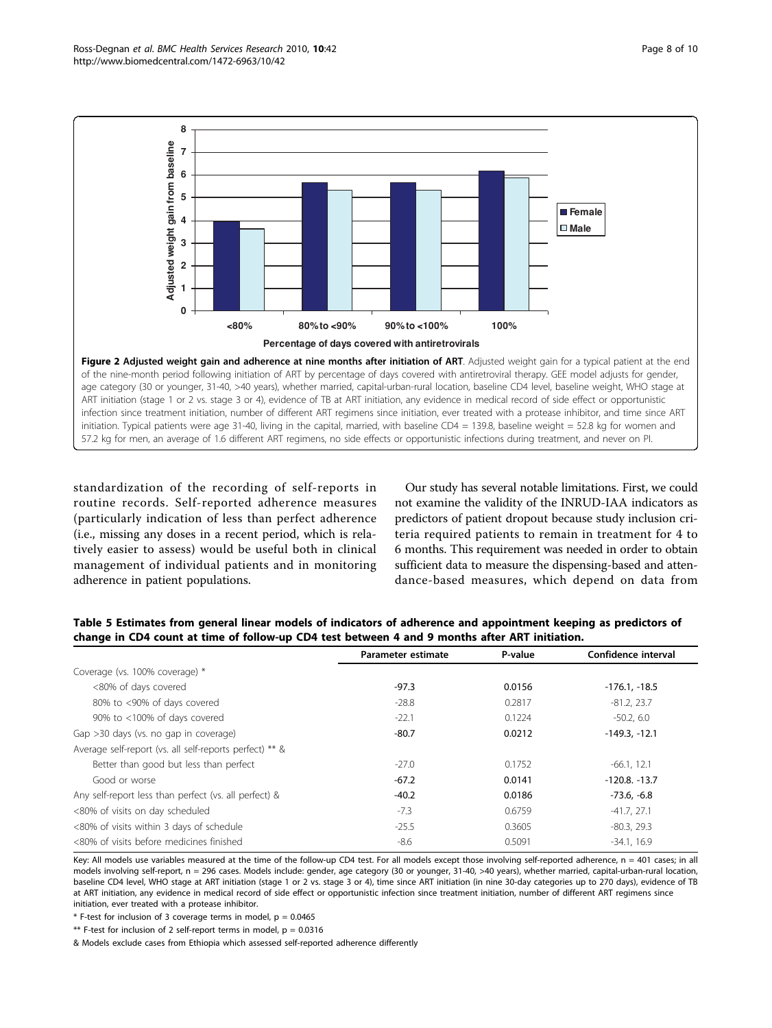<span id="page-7-0"></span>

standardization of the recording of self-reports in routine records. Self-reported adherence measures (particularly indication of less than perfect adherence (i.e., missing any doses in a recent period, which is relatively easier to assess) would be useful both in clinical management of individual patients and in monitoring adherence in patient populations.

Our study has several notable limitations. First, we could not examine the validity of the INRUD-IAA indicators as predictors of patient dropout because study inclusion criteria required patients to remain in treatment for 4 to 6 months. This requirement was needed in order to obtain sufficient data to measure the dispensing-based and attendance-based measures, which depend on data from

|                                                         | Parameter estimate | P-value | Confidence interval |
|---------------------------------------------------------|--------------------|---------|---------------------|
| Coverage (vs. 100% coverage) *                          |                    |         |                     |
| <80% of days covered                                    | $-97.3$            | 0.0156  | $-176.1, -18.5$     |
| 80% to <90% of days covered                             | $-28.8$            | 0.2817  | $-81.2.23.7$        |
| 90% to <100% of days covered                            | $-22.1$            | 0.1224  | $-50.2, 6.0$        |
| Gap >30 days (vs. no gap in coverage)                   | $-80.7$            | 0.0212  | $-149.3, -12.1$     |
| Average self-report (vs. all self-reports perfect) ** & |                    |         |                     |
| Better than good but less than perfect                  | $-27.0$            | 0.1752  | $-66.1, 12.1$       |
| Good or worse                                           | $-67.2$            | 0.0141  | $-120.8. -13.7$     |
| Any self-report less than perfect (vs. all perfect) &   | $-40.2$            | 0.0186  | $-73.6, -6.8$       |
| <80% of visits on day scheduled                         | $-7.3$             | 0.6759  | $-41.7, 27.1$       |
| <80% of visits within 3 days of schedule                | $-25.5$            | 0.3605  | $-80.3, 29.3$       |
| <80% of visits before medicines finished                | $-8.6$             | 0.5091  | $-34.1, 16.9$       |

Table 5 Estimates from general linear models of indicators of adherence and appointment keeping as predictors of change in CD4 count at time of follow-up CD4 test between 4 and 9 months after ART initiation.

Key: All models use variables measured at the time of the follow-up CD4 test. For all models except those involving self-reported adherence, n = 401 cases; in all models involving self-report, n = 296 cases. Models include: gender, age category (30 or younger, 31-40, >40 years), whether married, capital-urban-rural location, baseline CD4 level, WHO stage at ART initiation (stage 1 or 2 vs. stage 3 or 4), time since ART initiation (in nine 30-day categories up to 270 days), evidence of TB at ART initiation, any evidence in medical record of side effect or opportunistic infection since treatment initiation, number of different ART regimens since initiation, ever treated with a protease inhibitor.

 $*$  F-test for inclusion of 3 coverage terms in model,  $p = 0.0465$ 

\*\* F-test for inclusion of 2 self-report terms in model,  $p = 0.0316$ 

& Models exclude cases from Ethiopia which assessed self-reported adherence differently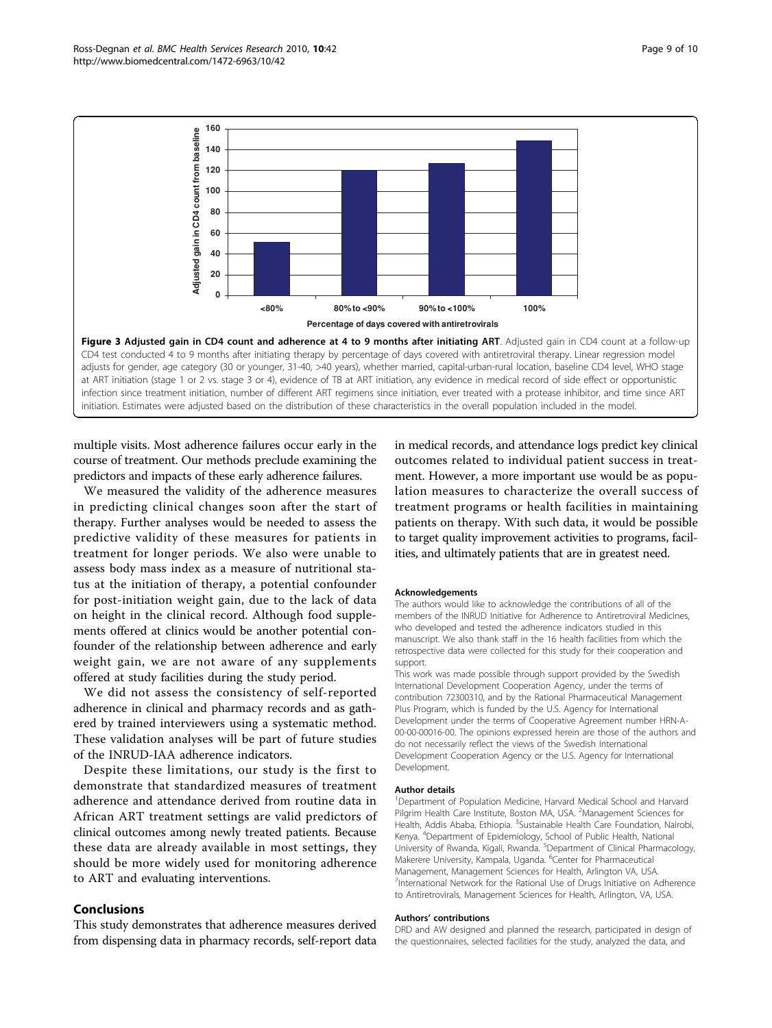<span id="page-8-0"></span>

multiple visits. Most adherence failures occur early in the course of treatment. Our methods preclude examining the predictors and impacts of these early adherence failures.

We measured the validity of the adherence measures in predicting clinical changes soon after the start of therapy. Further analyses would be needed to assess the predictive validity of these measures for patients in treatment for longer periods. We also were unable to assess body mass index as a measure of nutritional status at the initiation of therapy, a potential confounder for post-initiation weight gain, due to the lack of data on height in the clinical record. Although food supplements offered at clinics would be another potential confounder of the relationship between adherence and early weight gain, we are not aware of any supplements offered at study facilities during the study period.

We did not assess the consistency of self-reported adherence in clinical and pharmacy records and as gathered by trained interviewers using a systematic method. These validation analyses will be part of future studies of the INRUD-IAA adherence indicators.

Despite these limitations, our study is the first to demonstrate that standardized measures of treatment adherence and attendance derived from routine data in African ART treatment settings are valid predictors of clinical outcomes among newly treated patients. Because these data are already available in most settings, they should be more widely used for monitoring adherence to ART and evaluating interventions.

# Conclusions

This study demonstrates that adherence measures derived from dispensing data in pharmacy records, self-report data

in medical records, and attendance logs predict key clinical outcomes related to individual patient success in treatment. However, a more important use would be as population measures to characterize the overall success of treatment programs or health facilities in maintaining patients on therapy. With such data, it would be possible to target quality improvement activities to programs, facilities, and ultimately patients that are in greatest need.

#### Acknowledgements

The authors would like to acknowledge the contributions of all of the members of the INRUD Initiative for Adherence to Antiretroviral Medicines, who developed and tested the adherence indicators studied in this manuscript. We also thank staff in the 16 health facilities from which the retrospective data were collected for this study for their cooperation and support.

This work was made possible through support provided by the Swedish International Development Cooperation Agency, under the terms of contribution 72300310, and by the Rational Pharmaceutical Management Plus Program, which is funded by the U.S. Agency for International Development under the terms of Cooperative Agreement number HRN-A-00-00-00016-00. The opinions expressed herein are those of the authors and do not necessarily reflect the views of the Swedish International Development Cooperation Agency or the U.S. Agency for International Development.

#### Author details

<sup>1</sup>Department of Population Medicine, Harvard Medical School and Harvard Pilgrim Health Care Institute, Boston MA, USA. <sup>2</sup>Management Sciences for Health, Addis Ababa, Ethiopia. <sup>3</sup>Sustainable Health Care Foundation, Nairobi, Kenya. <sup>4</sup>Department of Epidemiology, School of Public Health, National University of Rwanda, Kigali, Rwanda. <sup>5</sup>Department of Clinical Pharmacology Makerere University, Kampala, Uganda. <sup>6</sup>Center for Pharmaceutical Management, Management Sciences for Health, Arlington VA, USA. <sup>7</sup>International Network for the Rational Use of Drugs Initiative on Adherence to Antiretrovirals, Management Sciences for Health, Arlington, VA, USA.

#### Authors' contributions

DRD and AW designed and planned the research, participated in design of the questionnaires, selected facilities for the study, analyzed the data, and